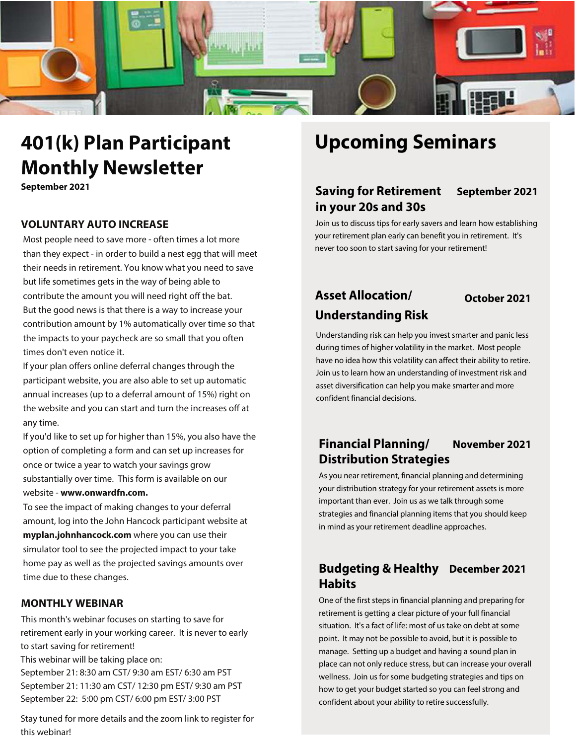

# **401(k) Plan Participant Monthly Newsletter**

**September 2021**

### **VOLUNTARY AUTO INCREASE**

Most people need to save more - often times a lot more than they expect - in order to build a nest egg that will meet their needs in retirement. You know what you need to save but life sometimes gets in the way of being able to contribute the amount you will need right off the bat. But the good news is that there is a way to increase your contribution amount by 1% automatically over time so that the impacts to your paycheck are so small that you often times don't even notice it.

If your plan offers online deferral changes through the participant website, you are also able to set up automatic annual increases (up to a deferral amount of 15%) right on the website and you can start and turn the increases off at any time.

If you'd like to set up for higher than 15%, you also have the option of completing a form and can set up increases for once or twice a year to watch your savings grow substantially over time. This form is available on our website - **www.onwardfn.com.**

To see the impact of making changes to your deferral amount, log into the John Hancock participant website at **myplan.johnhancock.com** where you can use their simulator tool to see the projected impact to your take home pay as well as the projected savings amounts over time due to these changes.

#### **MONTHLY WEBINAR**

This month's webinar focuses on starting to save for retirement early in your working career. It is never to early to start saving for retirement! This webinar will be taking place on: September 21: 8:30 am CST/ 9:30 am EST/ 6:30 am PST September 21: 11:30 am CST/ 12:30 pm EST/ 9:30 am PST September 22: 5:00 pm CST/ 6:00 pm EST/ 3:00 PST

Stay tuned for more details and the zoom link to register for this webinar!

## **Upcoming Seminars**

## **Saving for Retirement September 2021 in your 20s and 30s**

Join us to discuss tips for early savers and learn how establishing your retirement plan early can benefit you in retirement. It's never too soon to start saving for your retirement!

## **Asset Allocation/ October 2021 Understanding Risk**

Understanding risk can help you invest smarter and panic less during times of higher volatility in the market. Most people have no idea how this volatility can affect their ability to retire. Join us to learn how an understanding of investment risk and asset diversification can help you make smarter and more confident financial decisions.

## **Financial Planning/ November 2021 Distribution Strategies**

As you near retirement, financial planning and determining your distribution strategy for your retirement assets is more important than ever. Join us as we talk through some strategies and financial planning items that you should keep in mind as your retirement deadline approaches.

## **Budgeting & Healthy December 2021 Habits**

One of the first steps in financial planning and preparing for retirement is getting a clear picture of your full financial situation. It's a fact of life: most of us take on debt at some point. It may not be possible to avoid, but it is possible to manage. Setting up a budget and having a sound plan in place can not only reduce stress, but can increase your overall wellness. Join us for some budgeting strategies and tips on how to get your budget started so you can feel strong and confident about your ability to retire successfully.